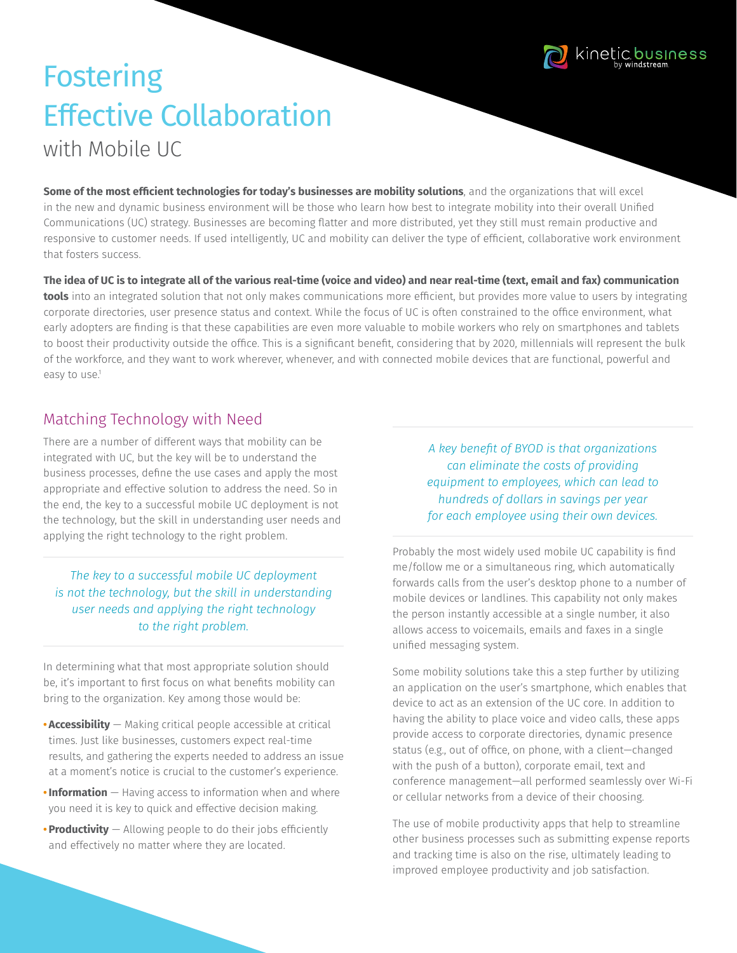

# **Fostering** Effective Collaboration with Mobile UC

**Some of the most efficient technologies for today's businesses are mobility solutions**, and the organizations that will excel in the new and dynamic business environment will be those who learn how best to integrate mobility into their overall Unified Communications (UC) strategy. Businesses are becoming flatter and more distributed, yet they still must remain productive and responsive to customer needs. If used intelligently, UC and mobility can deliver the type of efficient, collaborative work environment that fosters success.

**The idea of UC is to integrate all of the various real-time (voice and video) and near real-time (text, email and fax) communication tools** into an integrated solution that not only makes communications more efficient, but provides more value to users by integrating corporate directories, user presence status and context. While the focus of UC is often constrained to the office environment, what early adopters are finding is that these capabilities are even more valuable to mobile workers who rely on smartphones and tablets to boost their productivity outside the office. This is a significant benefit, considering that by 2020, millennials will represent the bulk of the workforce, and they want to work wherever, whenever, and with connected mobile devices that are functional, powerful and easy to use.<sup>1</sup>

#### Matching Technology with Need

There are a number of different ways that mobility can be integrated with UC, but the key will be to understand the business processes, define the use cases and apply the most appropriate and effective solution to address the need. So in the end, the key to a successful mobile UC deployment is not the technology, but the skill in understanding user needs and applying the right technology to the right problem.

#### *The key to a successful mobile UC deployment is not the technology, but the skill in understanding user needs and applying the right technology to the right problem.*

In determining what that most appropriate solution should be, it's important to first focus on what benefits mobility can bring to the organization. Key among those would be:

- **• Accessibility** Making critical people accessible at critical times. Just like businesses, customers expect real-time results, and gathering the experts needed to address an issue at a moment's notice is crucial to the customer's experience.
- **•Information** Having access to information when and where you need it is key to quick and effective decision making.
- **• Productivity** Allowing people to do their jobs efficiently and effectively no matter where they are located.

*A key benefit of BYOD is that organizations can eliminate the costs of providing equipment to employees, which can lead to hundreds of dollars in savings per year for each employee using their own devices.*

Probably the most widely used mobile UC capability is find me/follow me or a simultaneous ring, which automatically forwards calls from the user's desktop phone to a number of mobile devices or landlines. This capability not only makes the person instantly accessible at a single number, it also allows access to voicemails, emails and faxes in a single unified messaging system.

Some mobility solutions take this a step further by utilizing an application on the user's smartphone, which enables that device to act as an extension of the UC core. In addition to having the ability to place voice and video calls, these apps provide access to corporate directories, dynamic presence status (e.g., out of office, on phone, with a client—changed with the push of a button), corporate email, text and conference management—all performed seamlessly over Wi-Fi or cellular networks from a device of their choosing.

The use of mobile productivity apps that help to streamline other business processes such as submitting expense reports and tracking time is also on the rise, ultimately leading to improved employee productivity and job satisfaction.